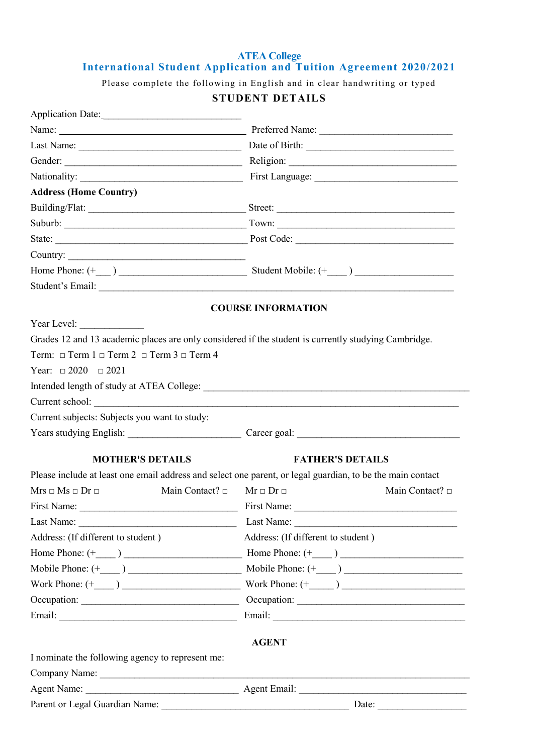### **ATEA College International Student Application and Tuition Agreement 2020/2021**

Please complete the following in English and in clear handwriting or typed

# **STUDENT DETAILS**

| Application Date:                                                                                          |                                                   |
|------------------------------------------------------------------------------------------------------------|---------------------------------------------------|
|                                                                                                            |                                                   |
|                                                                                                            |                                                   |
|                                                                                                            |                                                   |
|                                                                                                            |                                                   |
| <b>Address (Home Country)</b>                                                                              |                                                   |
|                                                                                                            |                                                   |
|                                                                                                            |                                                   |
|                                                                                                            |                                                   |
| Country:                                                                                                   |                                                   |
|                                                                                                            |                                                   |
|                                                                                                            |                                                   |
|                                                                                                            | <b>COURSE INFORMATION</b>                         |
| Year Level:                                                                                                |                                                   |
| Grades 12 and 13 academic places are only considered if the student is currently studying Cambridge.       |                                                   |
| Term: $\Box$ Term 1 $\Box$ Term 2 $\Box$ Term 3 $\Box$ Term 4                                              |                                                   |
| Year: $\Box 2020$ $\Box 2021$                                                                              |                                                   |
|                                                                                                            |                                                   |
|                                                                                                            |                                                   |
| Current school:<br>Current subjects: Subjects you want to study:                                           |                                                   |
|                                                                                                            |                                                   |
|                                                                                                            | Years studying English: Career goal: Career goal: |
| <b>MOTHER'S DETAILS</b>                                                                                    | <b>FATHER'S DETAILS</b>                           |
| Please include at least one email address and select one parent, or legal guardian, to be the main contact |                                                   |
| $Mrs \square Ms \square Dr \square$<br>Main Contact? $\square$                                             | Main Contact? $\square$<br>$Mr \Box Dr \Box$      |
| First Name:<br><b>Example 18</b> First Name:                                                               |                                                   |
|                                                                                                            |                                                   |
| Address: (If different to student)                                                                         | Address: (If different to student)                |
|                                                                                                            |                                                   |
|                                                                                                            |                                                   |
|                                                                                                            |                                                   |
|                                                                                                            | Occupation:                                       |
|                                                                                                            |                                                   |
|                                                                                                            |                                                   |
|                                                                                                            | <b>AGENT</b>                                      |
| I nominate the following agency to represent me:                                                           |                                                   |
|                                                                                                            |                                                   |
|                                                                                                            |                                                   |
|                                                                                                            |                                                   |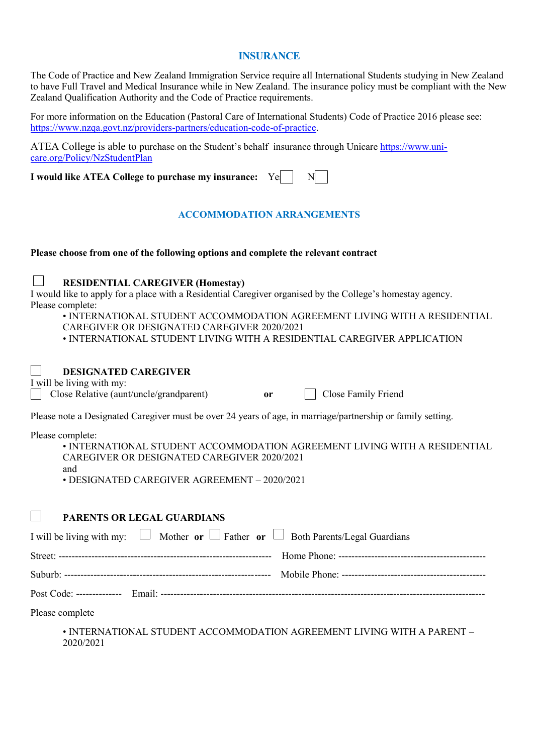### **INSURANCE**

The Code of Practice and New Zealand Immigration Service require all International Students studying in New Zealand to have Full Travel and Medical Insurance while in New Zealand. The insurance policy must be compliant with the New Zealand Qualification Authority and the Code of Practice requirements.

For more information on the Education (Pastoral Care of International Students) Code of Practice 2016 please see: [https://www.nzqa.govt.nz/providers-partners/education-code-of-practice.](https://www.nzqa.govt.nz/providers-partners/education-code-of-practice)

ATEA College is able to purchase on the Student's behalf insurance through Unicare [https://www.uni](https://www.uni-care.org/Policy/NzStudentPlan)[care.org/Policy/NzStudentPlan](https://www.uni-care.org/Policy/NzStudentPlan)

**I** would like ATEA College to purchase my insurance: Yes  $\begin{bmatrix} \sim \\ \sim \end{bmatrix}$ 

# **ACCOMMODATION ARRANGEMENTS**

### **Please choose from one of the following options and complete the relevant contract**

#### $\mathbf{I}$ **RESIDENTIAL CAREGIVER (Homestay)**

I would like to apply for a place with a Residential Caregiver organised by the College's homestay agency. Please complete:

• INTERNATIONAL STUDENT ACCOMMODATION AGREEMENT LIVING WITH A RESIDENTIAL CAREGIVER OR DESIGNATED CAREGIVER 2020/2021

• INTERNATIONAL STUDENT LIVING WITH A RESIDENTIAL CAREGIVER APPLICATION

#### $\mathcal{L}$ **DESIGNATED CAREGIVER**

I will be living with my:

|  | $\Box$ Close Relative (aunt/uncle/grandparent) |  | Close Family Friend |
|--|------------------------------------------------|--|---------------------|
|--|------------------------------------------------|--|---------------------|

Please note a Designated Caregiver must be over 24 years of age, in marriage/partnership or family setting.

Please complete:

| $\ldots$                                                                          |
|-----------------------------------------------------------------------------------|
| $\bullet$ INTERNATIONAL STUDENT ACCOMMODATION AGREEMENT LIVING WITH A RESIDENTIAL |
| CAREGIVER OR DESIGNATED CAREGIVER 2020/2021                                       |
| and                                                                               |
| $\cdot$ DESIGNATED CAREGIVER AGREEMENT $-$ 2020/2021                              |

#### $\mathbf{I}$ **PARENTS OR LEGAL GUARDIANS**

|                 | I will be living with my: $\Box$ Mother or $\Box$ Father or $\Box$ Both Parents/Legal Guardians |  |
|-----------------|-------------------------------------------------------------------------------------------------|--|
|                 |                                                                                                 |  |
|                 |                                                                                                 |  |
|                 |                                                                                                 |  |
| Dlagge complete |                                                                                                 |  |

Please complete

• INTERNATIONAL STUDENT ACCOMMODATION AGREEMENT LIVING WITH A PARENT – 2020/2021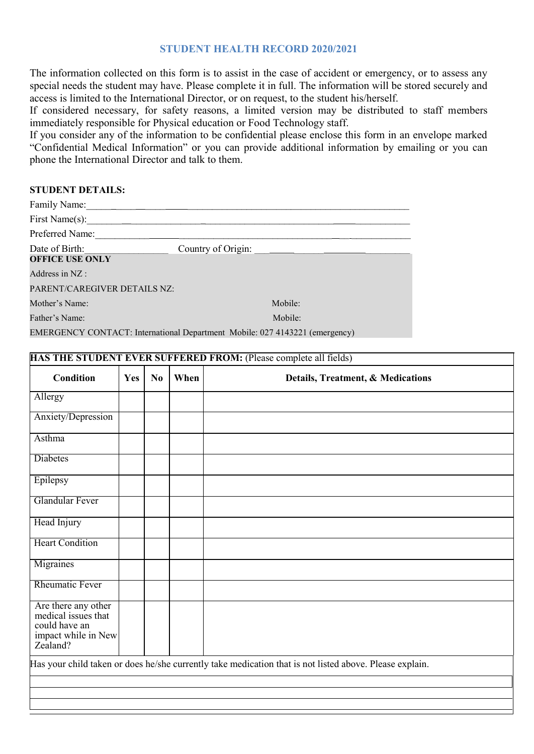### **STUDENT HEALTH RECORD 2020/2021**

The information collected on this form is to assist in the case of accident or emergency, or to assess any special needs the student may have. Please complete it in full. The information will be stored securely and access is limited to the International Director, or on request, to the student his/herself.

If considered necessary, for safety reasons, a limited version may be distributed to staff members immediately responsible for Physical education or Food Technology staff.

If you consider any of the information to be confidential please enclose this form in an envelope marked "Confidential Medical Information" or you can provide additional information by emailing or you can phone the International Director and talk to them.

### **STUDENT DETAILS:**

| Family Name:                             |                                                                             |
|------------------------------------------|-----------------------------------------------------------------------------|
| First Name(s):                           |                                                                             |
| Preferred Name:                          |                                                                             |
| Date of Birth:<br><b>OFFICE USE ONLY</b> | Country of Origin:                                                          |
|                                          |                                                                             |
| Address in NZ:                           |                                                                             |
| PARENT/CAREGIVER DETAILS NZ:             |                                                                             |
| Mother's Name:                           | Mobile:                                                                     |
| Father's Name:                           | Mobile:                                                                     |
|                                          | EMERGENCY CONTACT: International Department Mobile: 027 4143221 (emergency) |

| <b>Condition</b>                                                                               | Yes | No | When | Details, Treatment, & Medications                                                                       |
|------------------------------------------------------------------------------------------------|-----|----|------|---------------------------------------------------------------------------------------------------------|
| Allergy                                                                                        |     |    |      |                                                                                                         |
| Anxiety/Depression                                                                             |     |    |      |                                                                                                         |
| Asthma                                                                                         |     |    |      |                                                                                                         |
| Diabetes                                                                                       |     |    |      |                                                                                                         |
| Epilepsy                                                                                       |     |    |      |                                                                                                         |
| <b>Glandular Fever</b>                                                                         |     |    |      |                                                                                                         |
| Head Injury                                                                                    |     |    |      |                                                                                                         |
| <b>Heart Condition</b>                                                                         |     |    |      |                                                                                                         |
| Migraines                                                                                      |     |    |      |                                                                                                         |
| <b>Rheumatic Fever</b>                                                                         |     |    |      |                                                                                                         |
| Are there any other<br>medical issues that<br>could have an<br>impact while in New<br>Zealand? |     |    |      |                                                                                                         |
|                                                                                                |     |    |      | Has your child taken or does he/she currently take medication that is not listed above. Please explain. |
|                                                                                                |     |    |      |                                                                                                         |
|                                                                                                |     |    |      |                                                                                                         |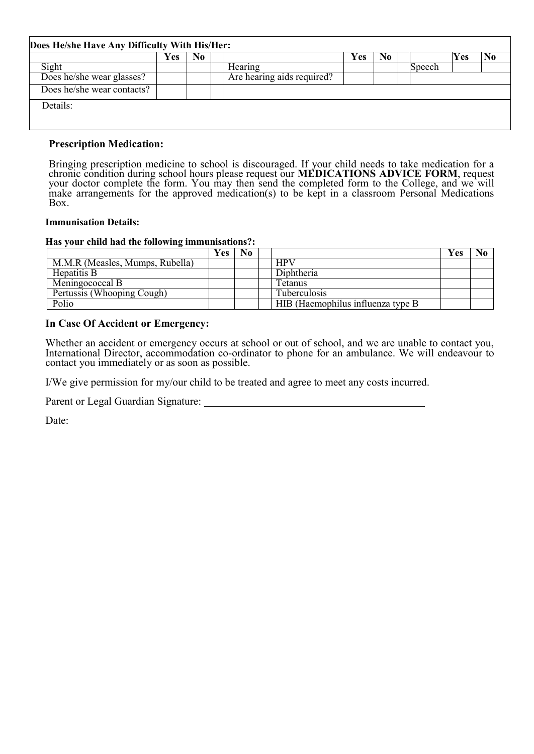|                            | Y es | No |                            | Y es | No |        | Yes |  |
|----------------------------|------|----|----------------------------|------|----|--------|-----|--|
| Sight                      |      |    | Hearing                    |      |    | Speech |     |  |
| Does he/she wear glasses?  |      |    | Are hearing aids required? |      |    |        |     |  |
| Does he/she wear contacts? |      |    |                            |      |    |        |     |  |
| Details:                   |      |    |                            |      |    |        |     |  |

### **Prescription Medication:**

Bringing prescription medicine to school is discouraged. If your child needs to take medication for a chronic condition during school hours please request our **MEDICATIONS ADVICE FORM**, request your doctor complete the form. You may then send the completed form to the College, and we will make arrangements for the approved medication(s) to be kept in a classroom Personal Medications Box.

### **Immunisation Details:**

### **Has your child had the following immunisations?:**

|                                 | Y es | No. |                                    | r es |  |
|---------------------------------|------|-----|------------------------------------|------|--|
| M.M.R (Measles, Mumps, Rubella) |      |     | <b>HPV</b>                         |      |  |
| Hepatitis B                     |      |     | Diphtheria                         |      |  |
| Meningococcal B                 |      |     | Tetanus                            |      |  |
| Pertussis (Whooping Cough)      |      |     | <b>Tuberculosis</b>                |      |  |
| $Po\overline{lio}$              |      |     | HIB (Haemophilus influenza type B) |      |  |

## **In Case Of Accident or Emergency:**

Whether an accident or emergency occurs at school or out of school, and we are unable to contact you, International Director, accommodation co-ordinator to phone for an ambulance. We will endeavour to contact you immediately or as soon as possible.

I/We give permission for my/our child to be treated and agree to meet any costs incurred.

Parent or Legal Guardian Signature:

Date: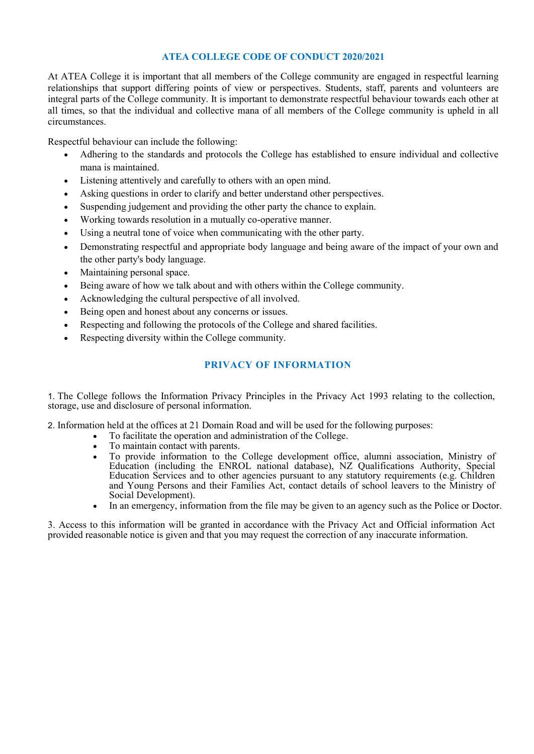### **ATEA COLLEGE CODE OF CONDUCT 2020/2021**

At ATEA College it is important that all members of the College community are engaged in respectful learning relationships that support differing points of view or perspectives. Students, staff, parents and volunteers are integral parts of the College community. It is important to demonstrate respectful behaviour towards each other at all times, so that the individual and collective mana of all members of the College community is upheld in all circumstances.

Respectful behaviour can include the following:

- Adhering to the standards and protocols the College has established to ensure individual and collective mana is maintained.
- Listening attentively and carefully to others with an open mind.
- Asking questions in order to clarify and better understand other perspectives.
- Suspending judgement and providing the other party the chance to explain.
- Working towards resolution in a mutually co-operative manner.
- Using a neutral tone of voice when communicating with the other party.
- Demonstrating respectful and appropriate body language and being aware of the impact of your own and the other party's body language.
- Maintaining personal space.
- Being aware of how we talk about and with others within the College community.
- Acknowledging the cultural perspective of all involved.
- Being open and honest about any concerns or issues.
- Respecting and following the protocols of the College and shared facilities.
- Respecting diversity within the College community.

## **PRIVACY OF INFORMATION**

1. The College follows the Information Privacy Principles in the Privacy Act 1993 relating to the collection, storage, use and disclosure of personal information.

2. Information held at the offices at 21 Domain Road and will be used for the following purposes:

- To facilitate the operation and administration of the College.
- To maintain contact with parents.
- To provide information to the College development office, alumni association, Ministry of Education (including the ENROL national database), NZ Qualifications Authority, Special Education Services and to other agencies pursuant to any statutory requirements (e.g. Children and Young Persons and their Families Act, contact details of school leavers to the Ministry of Social Development).
- In an emergency, information from the file may be given to an agency such as the Police or Doctor.

3. Access to this information will be granted in accordance with the Privacy Act and Official information Act provided reasonable notice is given and that you may request the correction of any inaccurate information.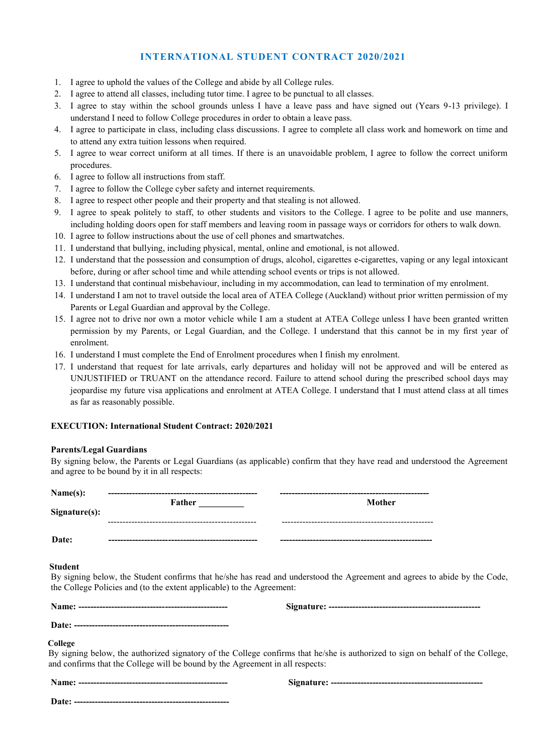### **INTERNATIONAL STUDENT CONTRACT 2020/2021**

- 1. I agree to uphold the values of the College and abide by all College rules.
- 2. I agree to attend all classes, including tutor time. I agree to be punctual to all classes.
- 3. I agree to stay within the school grounds unless I have a leave pass and have signed out (Years 9-13 privilege). I understand I need to follow College procedures in order to obtain a leave pass.
- 4. I agree to participate in class, including class discussions. I agree to complete all class work and homework on time and to attend any extra tuition lessons when required.
- 5. I agree to wear correct uniform at all times. If there is an unavoidable problem, I agree to follow the correct uniform procedures.
- 6. I agree to follow all instructions from staff.
- 7. I agree to follow the College cyber safety and internet requirements.
- 8. I agree to respect other people and their property and that stealing is not allowed.
- 9. I agree to speak politely to staff, to other students and visitors to the College. I agree to be polite and use manners, including holding doors open for staff members and leaving room in passage ways or corridors for others to walk down.
- 10. I agree to follow instructions about the use of cell phones and smartwatches.
- 11. I understand that bullying, including physical, mental, online and emotional, is not allowed.
- 12. I understand that the possession and consumption of drugs, alcohol, cigarettes e-cigarettes, vaping or any legal intoxicant before, during or after school time and while attending school events or trips is not allowed.
- 13. I understand that continual misbehaviour, including in my accommodation, can lead to termination of my enrolment.
- 14. I understand I am not to travel outside the local area of ATEA College (Auckland) without prior written permission of my Parents or Legal Guardian and approval by the College.
- 15. I agree not to drive nor own a motor vehicle while I am a student at ATEA College unless I have been granted written permission by my Parents, or Legal Guardian, and the College. I understand that this cannot be in my first year of enrolment.
- 16. I understand I must complete the End of Enrolment procedures when I finish my enrolment.
- 17. I understand that request for late arrivals, early departures and holiday will not be approved and will be entered as UNJUSTIFIED or TRUANT on the attendance record. Failure to attend school during the prescribed school days may jeopardise my future visa applications and enrolment at ATEA College. I understand that I must attend class at all times as far as reasonably possible.

### **EXECUTION: International Student Contract: 2020/2021**

#### **Parents/Legal Guardians**

By signing below, the Parents or Legal Guardians (as applicable) confirm that they have read and understood the Agreement and agree to be bound by it in all respects:

| Name(s):<br>Signature(s): | Father                                                                        | Mother                                                                                                                         |
|---------------------------|-------------------------------------------------------------------------------|--------------------------------------------------------------------------------------------------------------------------------|
| Date:                     |                                                                               |                                                                                                                                |
| <b>Student</b>            | the College Policies and (to the extent applicable) to the Agreement:         | By signing below, the Student confirms that he/she has read and understood the Agreement and agrees to abide by the Code,      |
|                           |                                                                               |                                                                                                                                |
| College                   | and confirms that the College will be bound by the Agreement in all respects: | By signing below, the authorized signatory of the College confirms that he/she is authorized to sign on behalf of the College, |
|                           |                                                                               |                                                                                                                                |
|                           |                                                                               |                                                                                                                                |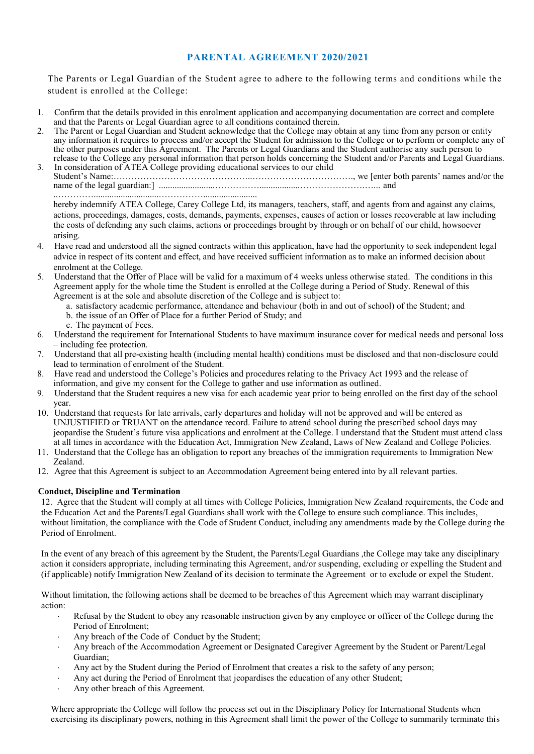### **PARENTAL AGREEMENT 2020/2021**

The Parents or Legal Guardian of the Student agree to adhere to the following terms and conditions while the student is enrolled at the College:

- 1. Confirm that the details provided in this enrolment application and accompanying documentation are correct and complete and that the Parents or Legal Guardian agree to all conditions contained therein.
- 2. The Parent or Legal Guardian and Student acknowledge that the College may obtain at any time from any person or entity any information it requires to process and/or accept the Student for admission to the College or to perform or complete any of the other purposes under this Agreement. The Parents or Legal Guardians and the Student authorise any such person to release to the College any personal information that person holds concerning the Student and/or Parents and Legal Guardians.
- 3. In consideration of ATEA College providing educational services to our child Student's Name:………………………………………..……………………………., we [enter both parents' names and/or the name of the legal guardian:] .........................……………..................………………….…... and ..………….............................……………........................

hereby indemnify ATEA College, Carey College Ltd, its managers, teachers, staff, and agents from and against any claims, actions, proceedings, damages, costs, demands, payments, expenses, causes of action or losses recoverable at law including the costs of defending any such claims, actions or proceedings brought by through or on behalf of our child, howsoever arising.

- 4. Have read and understood all the signed contracts within this application, have had the opportunity to seek independent legal advice in respect of its content and effect, and have received sufficient information as to make an informed decision about enrolment at the College.
- 5. Understand that the Offer of Place will be valid for a maximum of 4 weeks unless otherwise stated. The conditions in this Agreement apply for the whole time the Student is enrolled at the College during a Period of Study. Renewal of this Agreement is at the sole and absolute discretion of the College and is subject to:
	- a. satisfactory academic performance, attendance and behaviour (both in and out of school) of the Student; and b. the issue of an Offer of Place for a further Period of Study; and
	- c. The payment of Fees.
- 6. Understand the requirement for International Students to have maximum insurance cover for medical needs and personal loss – including fee protection.
- 7. Understand that all pre-existing health (including mental health) conditions must be disclosed and that non-disclosure could lead to termination of enrolment of the Student.
- 8. Have read and understood the College's Policies and procedures relating to the Privacy Act 1993 and the release of information, and give my consent for the College to gather and use information as outlined.
- 9. Understand that the Student requires a new visa for each academic year prior to being enrolled on the first day of the school year.
- 10. Understand that requests for late arrivals, early departures and holiday will not be approved and will be entered as UNJUSTIFIED or TRUANT on the attendance record. Failure to attend school during the prescribed school days may jeopardise the Student's future visa applications and enrolment at the College. I understand that the Student must attend class at all times in accordance with the Education Act, Immigration New Zealand, Laws of New Zealand and College Policies.
- 11. Understand that the College has an obligation to report any breaches of the immigration requirements to Immigration New Zealand.
- 12. Agree that this Agreement is subject to an Accommodation Agreement being entered into by all relevant parties.

### **Conduct, Discipline and Termination**

12. Agree that the Student will comply at all times with College Policies, Immigration New Zealand requirements, the Code and the Education Act and the Parents/Legal Guardians shall work with the College to ensure such compliance. This includes, without limitation, the compliance with the Code of Student Conduct, including any amendments made by the College during the Period of Enrolment.

In the event of any breach of this agreement by the Student, the Parents/Legal Guardians ,the College may take any disciplinary action it considers appropriate, including terminating this Agreement, and/or suspending, excluding or expelling the Student and (if applicable) notify Immigration New Zealand of its decision to terminate the Agreement or to exclude or expel the Student.

Without limitation, the following actions shall be deemed to be breaches of this Agreement which may warrant disciplinary action:

- Refusal by the Student to obey any reasonable instruction given by any employee or officer of the College during the Period of Enrolment;
- Any breach of the Code of Conduct by the Student;
- Any breach of the Accommodation Agreement or Designated Caregiver Agreement by the Student or Parent/Legal Guardian;
- Any act by the Student during the Period of Enrolment that creates a risk to the safety of any person;
- Any act during the Period of Enrolment that jeopardises the education of any other Student;
- Any other breach of this Agreement.

Where appropriate the College will follow the process set out in the Disciplinary Policy for International Students when exercising its disciplinary powers, nothing in this Agreement shall limit the power of the College to summarily terminate this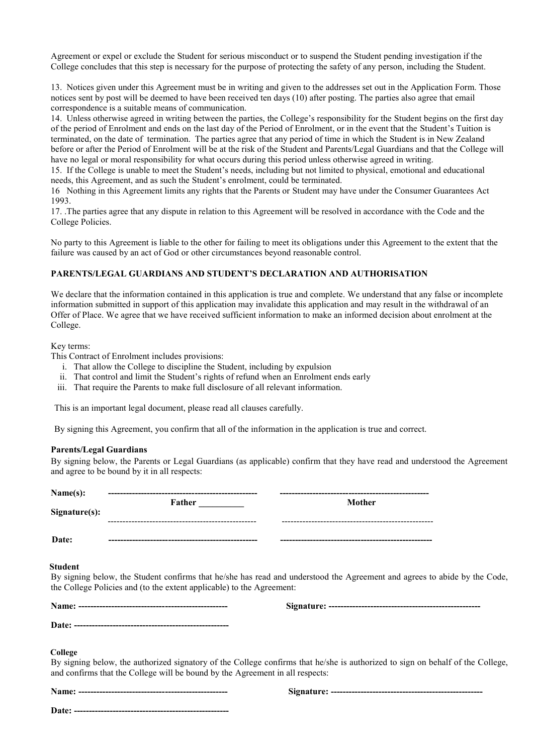Agreement or expel or exclude the Student for serious misconduct or to suspend the Student pending investigation if the College concludes that this step is necessary for the purpose of protecting the safety of any person, including the Student.

13. Notices given under this Agreement must be in writing and given to the addresses set out in the Application Form. Those notices sent by post will be deemed to have been received ten days (10) after posting. The parties also agree that email correspondence is a suitable means of communication.

14. Unless otherwise agreed in writing between the parties, the College's responsibility for the Student begins on the first day of the period of Enrolment and ends on the last day of the Period of Enrolment, or in the event that the Student's Tuition is terminated, on the date of termination. The parties agree that any period of time in which the Student is in New Zealand before or after the Period of Enrolment will be at the risk of the Student and Parents/Legal Guardians and that the College will have no legal or moral responsibility for what occurs during this period unless otherwise agreed in writing.

15. If the College is unable to meet the Student's needs, including but not limited to physical, emotional and educational needs, this Agreement, and as such the Student's enrolment, could be terminated.

16 Nothing in this Agreement limits any rights that the Parents or Student may have under the Consumer Guarantees Act 1993.

17. .The parties agree that any dispute in relation to this Agreement will be resolved in accordance with the Code and the College Policies.

No party to this Agreement is liable to the other for failing to meet its obligations under this Agreement to the extent that the failure was caused by an act of God or other circumstances beyond reasonable control.

### **PARENTS/LEGAL GUARDIANS AND STUDENT'S DECLARATION AND AUTHORISATION**

We declare that the information contained in this application is true and complete. We understand that any false or incomplete information submitted in support of this application may invalidate this application and may result in the withdrawal of an Offer of Place. We agree that we have received sufficient information to make an informed decision about enrolment at the College.

#### Key terms:

This Contract of Enrolment includes provisions:

- i. That allow the College to discipline the Student, including by expulsion
- ii. That control and limit the Student's rights of refund when an Enrolment ends early
- iii. That require the Parents to make full disclosure of all relevant information.

This is an important legal document, please read all clauses carefully.

By signing this Agreement, you confirm that all of the information in the application is true and correct.

### **Parents/Legal Guardians**

By signing below, the Parents or Legal Guardians (as applicable) confirm that they have read and understood the Agreement and agree to be bound by it in all respects:

| Name(s):<br>Sigmaer(s): | Father     | Mother |
|-------------------------|------------|--------|
| Date:                   | ---------- |        |

#### **Student**

By signing below, the Student confirms that he/she has read and understood the Agreement and agrees to abide by the Code, the College Policies and (to the extent applicable) to the Agreement:

**Name: -------------------------------------------------- Signature: ---------------------------------------------------**

**Date: ----------------------------------------------------**

 **College** 

By signing below, the authorized signatory of the College confirms that he/she is authorized to sign on behalf of the College, and confirms that the College will be bound by the Agreement in all respects:

**Name: -------------------------------------------------- Signature: ---------------------------------------------------**

**Date: ----------------------------------------------------**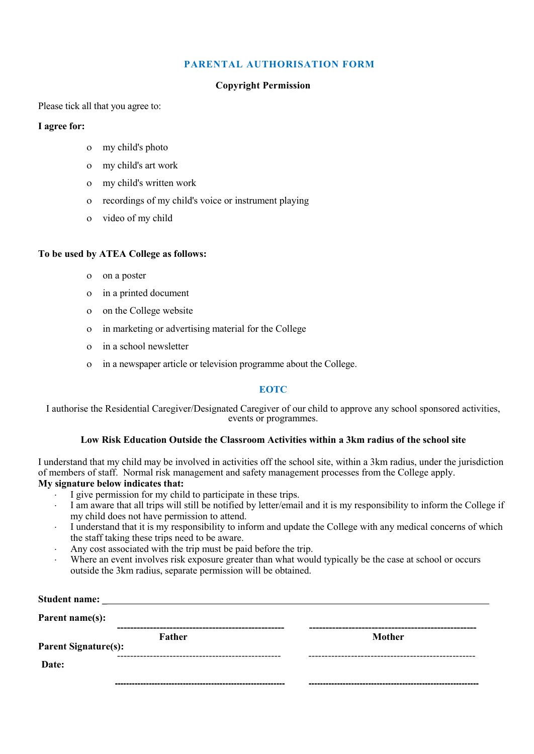### **PARENTAL AUTHORISATION FORM**

### **Copyright Permission**

Please tick all that you agree to:

### **I agree for:**

- my child's photo
- my child's art work
- my child's written work
- recordings of my child's voice or instrument playing
- video of my child

### **To be used by ATEA College as follows:**

- on a poster
- in a printed document
- on the College website
- in marketing or advertising material for the College
- in a school newsletter
- in a newspaper article or television programme about the College.

### **EOTC**

I authorise the Residential Caregiver/Designated Caregiver of our child to approve any school sponsored activities, events or programmes.

### **Low Risk Education Outside the Classroom Activities within a 3km radius of the school site**

I understand that my child may be involved in activities off the school site, within a 3km radius, under the jurisdiction of members of staff. Normal risk management and safety management processes from the College apply.

# **My signature below indicates that:**

- I give permission for my child to participate in these trips.
- I am aware that all trips will still be notified by letter/email and it is my responsibility to inform the College if my child does not have permission to attend.
- I understand that it is my responsibility to inform and update the College with any medical concerns of which the staff taking these trips need to be aware.
- Any cost associated with the trip must be paid before the trip.
- Where an event involves risk exposure greater than what would typically be the case at school or occurs outside the 3km radius, separate permission will be obtained.

| <b>Student name:</b>        |        |               |
|-----------------------------|--------|---------------|
| Parent name(s):             |        |               |
| <b>Parent Signature(s):</b> | Father | <b>Mother</b> |
| Date:                       |        |               |
|                             |        |               |